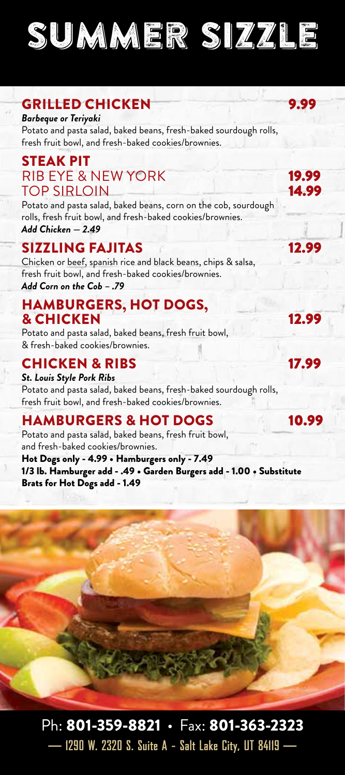SUMMER SIZZLE

### GRILLED CHICKEN 9.99

*Barbeque or Teriyaki* Potato and pasta salad, baked beans, fresh-baked sourdough rolls, fresh fruit bowl, and fresh-baked cookies/brownies.

#### STEAK PIT RIB EYE & NEW YORK 19.99<br>TOP SIRI OIN **TOP SIRLOIN**

Potato and pasta salad, baked beans, corn on the cob, sourdough rolls, fresh fruit bowl, and fresh-baked cookies/brownies. *Add Chicken — 2.49*

### SIZZLING FAJITAS 12.99

Chicken or beef, spanish rice and black beans, chips & salsa, fresh fruit bowl, and fresh-baked cookies/brownies. *Add Corn on the Cob – .79*

### HAMBURGERS, HOT DOGS, **& CHICKEN** 12.99

Potato and pasta salad, baked beans, fresh fruit bowl, & fresh-baked cookies/brownies.

### CHICKEN & RIBS 17.99

*St. Louis Style Pork Ribs* Potato and pasta salad, baked beans, fresh-baked sourdough rolls, fresh fruit bowl, and fresh-baked cookies/brownies.

### HAMBURGERS & HOT DOGS 10.99

Potato and pasta salad, baked beans, fresh fruit bowl, and fresh-baked cookies/brownies. Hot Dogs only - 4.99 • Hamburgers only - 7.49 1/3 lb. Hamburger add - .49 • Garden Burgers add - 1.00 • Substitute Brats for Hot Dogs add - 1.49

### Ph: 801-359-8821 · Fax: 801-363-2323 **— 1290 W. 2320 S. Suite A - Salt Lake City, UT 84119 —**